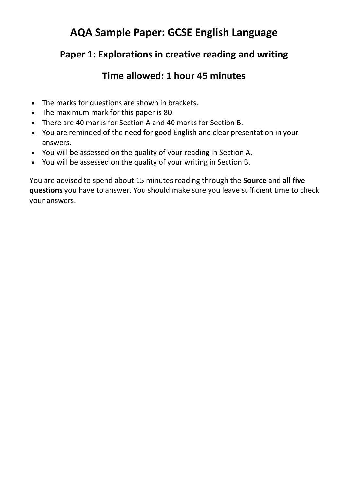# **AQA Sample Paper: GCSE English Language**

# **Paper 1: Explorations in creative reading and writing**

## **Time allowed: 1 hour 45 minutes**

- The marks for questions are shown in brackets.
- The maximum mark for this paper is 80.
- There are 40 marks for Section A and 40 marks for Section B.
- You are reminded of the need for good English and clear presentation in your answers.
- You will be assessed on the quality of your reading in Section A.
- You will be assessed on the quality of your writing in Section B.

You are advised to spend about 15 minutes reading through the **Source** and **all five questions** you have to answer. You should make sure you leave sufficient time to check your answers.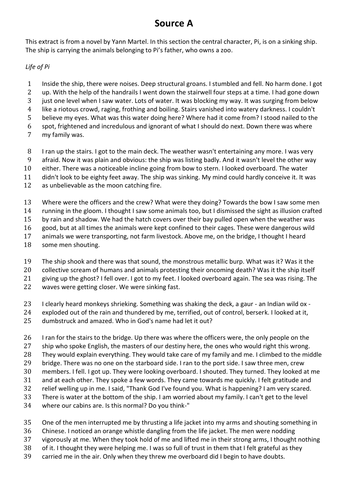# **Source A**

This extract is from a novel by Yann Martel. In this section the central character, Pi, is on a sinking ship. The ship is carrying the animals belonging to Pi's father, who owns a zoo.

#### *Life of Pi*

- Inside the ship, there were noises. Deep structural groans. I stumbled and fell. No harm done. I got
- up. With the help of the handrails I went down the stairwell four steps at a time. I had gone down
- 3 just one level when I saw water. Lots of water. It was blocking my way. It was surging from below
- like a riotous crowd, raging, frothing and boiling. Stairs vanished into watery darkness. I couldn't
- believe my eyes. What was this water doing here? Where had it come from? I stood nailed to the
- spot, frightened and incredulous and ignorant of what I should do next. Down there was where my family was.
- I ran up the stairs. I got to the main deck. The weather wasn't entertaining any more. I was very
- afraid. Now it was plain and obvious: the ship was listing badly. And it wasn't level the other way
- either. There was a noticeable incline going from bow to stern. I looked overboard. The water
- didn't look to be eighty feet away. The ship was sinking. My mind could hardly conceive it. It was
- as unbelievable as the moon catching fire.
- Where were the officers and the crew? What were they doing? Towards the bow I saw some men
- running in the gloom. I thought I saw some animals too, but I dismissed the sight as illusion crafted
- by rain and shadow. We had the hatch covers over their bay pulled open when the weather was
- good, but at all times the animals were kept confined to their cages. These were dangerous wild
- animals we were transporting, not farm livestock. Above me, on the bridge, I thought I heard
- some men shouting.
- The ship shook and there was that sound, the monstrous metallic burp. What was it? Was it the
- 20 collective scream of humans and animals protesting their oncoming death? Was it the ship itself
- giving up the ghost? I fell over. I got to my feet. I looked overboard again. The sea was rising. The
- waves were getting closer. We were sinking fast.
- I clearly heard monkeys shrieking. Something was shaking the deck, a gaur an Indian wild ox -
- exploded out of the rain and thundered by me, terrified, out of control, berserk. I looked at it,
- dumbstruck and amazed. Who in God's name had let it out?
- 26 I ran for the stairs to the bridge. Up there was where the officers were, the only people on the 27 ship who spoke English, the masters of our destiny here, the ones who would right this wrong. They would explain everything. They would take care of my family and me. I climbed to the middle bridge. There was no one on the starboard side. I ran to the port side. I saw three men, crew members. I fell. I got up. They were looking overboard. I shouted. They turned. They looked at me and at each other. They spoke a few words. They came towards me quickly. I felt gratitude and
- relief welling up in me. I said, "Thank God I've found you. What is happening? I am very scared.
- There is water at the bottom of the ship. I am worried about my family. I can't get to the level
- where our cabins are. Is this normal? Do you think-"
- One of the men interrupted me by thrusting a life jacket into my arms and shouting something in
- Chinese. I noticed an orange whistle dangling from the life jacket. The men were nodding
- vigorously at me. When they took hold of me and lifted me in their strong arms, I thought nothing
- of it. I thought they were helping me. I was so full of trust in them that I felt grateful as they
- carried me in the air. Only when they threw me overboard did I begin to have doubts.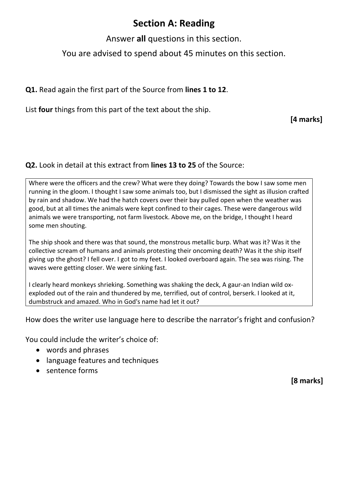### **Section A: Reading**

Answer **all** questions in this section.

You are advised to spend about 45 minutes on this section.

**Q1.** Read again the first part of the Source from **lines 1 to 12**.

List **four** things from this part of the text about the ship.

**[4 marks]**

### **Q2.** Look in detail at this extract from **lines 13 to 25** of the Source:

Where were the officers and the crew? What were they doing? Towards the bow I saw some men running in the gloom. I thought I saw some animals too, but I dismissed the sight as illusion crafted by rain and shadow. We had the hatch covers over their bay pulled open when the weather was good, but at all times the animals were kept confined to their cages. These were dangerous wild animals we were transporting, not farm livestock. Above me, on the bridge, I thought I heard some men shouting.

The ship shook and there was that sound, the monstrous metallic burp. What was it? Was it the collective scream of humans and animals protesting their oncoming death? Was it the ship itself giving up the ghost? I fell over. I got to my feet. I looked overboard again. The sea was rising. The waves were getting closer. We were sinking fast.

I clearly heard monkeys shrieking. Something was shaking the deck, A gaur-an Indian wild oxexploded out of the rain and thundered by me, terrified, out of control, berserk. I looked at it, dumbstruck and amazed. Who in God's name had let it out?

How does the writer use language here to describe the narrator's fright and confusion?

You could include the writer's choice of:

- words and phrases
- language features and techniques
- sentence forms

**[8 marks]**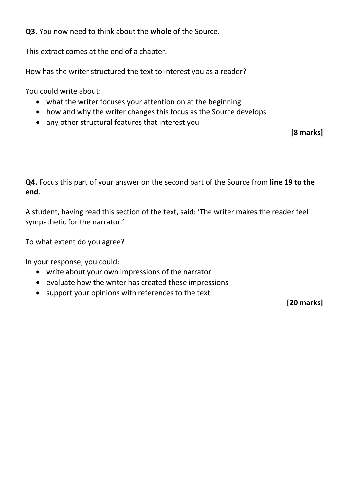**Q3.** You now need to think about the **whole** of the Source.

This extract comes at the end of a chapter.

How has the writer structured the text to interest you as a reader?

You could write about:

- what the writer focuses your attention on at the beginning
- how and why the writer changes this focus as the Source develops
- any other structural features that interest you

**[8 marks]**

**Q4.** Focus this part of your answer on the second part of the Source from **line 19 to the end**.

A student, having read this section of the text, said: 'The writer makes the reader feel sympathetic for the narrator.'

To what extent do you agree?

In your response, you could:

- write about your own impressions of the narrator
- evaluate how the writer has created these impressions
- support your opinions with references to the text

**[20 marks]**